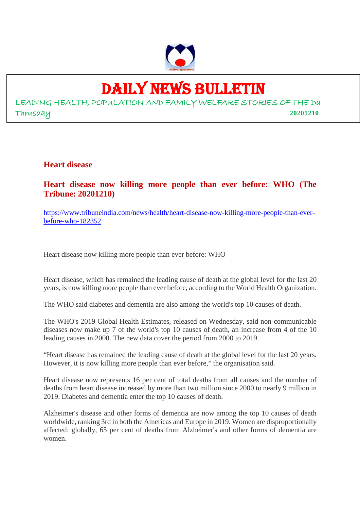

# DAILY NEWS BULLETIN

LEADING HEALTH, POPULATION AND FAMILY WELFARE STORIES OF THE Da Thrusday **20201210**

**Heart disease**

**Heart disease now killing more people than ever before: WHO (The Tribune: 20201210)**

https://www.tribuneindia.com/news/health/heart-disease-now-killing-more-people-than-everbefore-who-182352

Heart disease now killing more people than ever before: WHO

Heart disease, which has remained the leading cause of death at the global level for the last 20 years, is now killing more people than ever before, according to the World Health Organization.

The WHO said diabetes and dementia are also among the world's top 10 causes of death.

The WHO's 2019 Global Health Estimates, released on Wednesday, said non-communicable diseases now make up 7 of the world's top 10 causes of death, an increase from 4 of the 10 leading causes in 2000. The new data cover the period from 2000 to 2019.

"Heart disease has remained the leading cause of death at the global level for the last 20 years. However, it is now killing more people than ever before," the organisation said.

Heart disease now represents 16 per cent of total deaths from all causes and the number of deaths from heart disease increased by more than two million since 2000 to nearly 9 million in 2019. Diabetes and dementia enter the top 10 causes of death.

Alzheimer's disease and other forms of dementia are now among the top 10 causes of death worldwide, ranking 3rd in both the Americas and Europe in 2019. Women are disproportionally affected: globally, 65 per cent of deaths from Alzheimer's and other forms of dementia are women.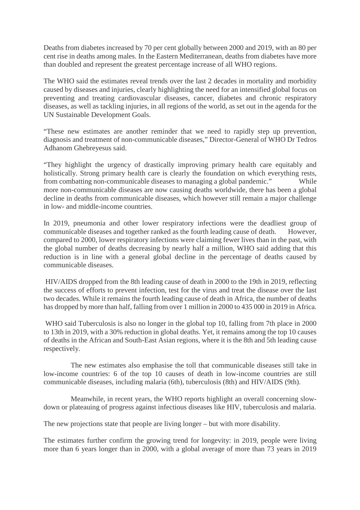Deaths from diabetes increased by 70 per cent globally between 2000 and 2019, with an 80 per cent rise in deaths among males. In the Eastern Mediterranean, deaths from diabetes have more than doubled and represent the greatest percentage increase of all WHO regions.

The WHO said the estimates reveal trends over the last 2 decades in mortality and morbidity caused by diseases and injuries, clearly highlighting the need for an intensified global focus on preventing and treating cardiovascular diseases, cancer, diabetes and chronic respiratory diseases, as well as tackling injuries, in all regions of the world, as set out in the agenda for the UN Sustainable Development Goals.

"These new estimates are another reminder that we need to rapidly step up prevention, diagnosis and treatment of non-communicable diseases," Director-General of WHO Dr Tedros Adhanom Ghebreyesus said.

"They highlight the urgency of drastically improving primary health care equitably and holistically. Strong primary health care is clearly the foundation on which everything rests, from combatting non-communicable diseases to managing a global pandemic." While more non-communicable diseases are now causing deaths worldwide, there has been a global decline in deaths from communicable diseases, which however still remain a major challenge in low- and middle-income countries.

In 2019, pneumonia and other lower respiratory infections were the deadliest group of communicable diseases and together ranked as the fourth leading cause of death. However, compared to 2000, lower respiratory infections were claiming fewer lives than in the past, with the global number of deaths decreasing by nearly half a million, WHO said adding that this reduction is in line with a general global decline in the percentage of deaths caused by communicable diseases.

HIV/AIDS dropped from the 8th leading cause of death in 2000 to the 19th in 2019, reflecting the success of efforts to prevent infection, test for the virus and treat the disease over the last two decades. While it remains the fourth leading cause of death in Africa, the number of deaths has dropped by more than half, falling from over 1 million in 2000 to 435 000 in 2019 in Africa.

WHO said Tuberculosis is also no longer in the global top 10, falling from 7th place in 2000 to 13th in 2019, with a 30% reduction in global deaths. Yet, it remains among the top 10 causes of deaths in the African and South-East Asian regions, where it is the 8th and 5th leading cause respectively.

The new estimates also emphasise the toll that communicable diseases still take in low-income countries: 6 of the top 10 causes of death in low-income countries are still communicable diseases, including malaria (6th), tuberculosis (8th) and HIV/AIDS (9th).

Meanwhile, in recent years, the WHO reports highlight an overall concerning slowdown or plateauing of progress against infectious diseases like HIV, tuberculosis and malaria.

The new projections state that people are living longer – but with more disability.

The estimates further confirm the growing trend for longevity: in 2019, people were living more than 6 years longer than in 2000, with a global average of more than 73 years in 2019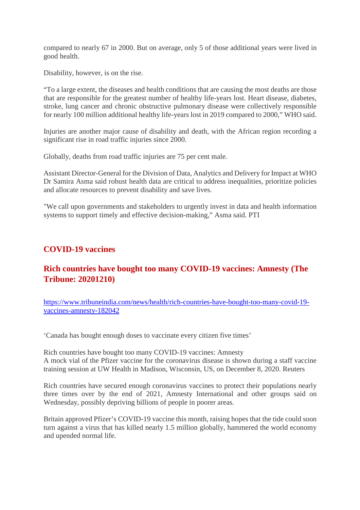compared to nearly 67 in 2000. But on average, only 5 of those additional years were lived in good health.

Disability, however, is on the rise.

"To a large extent, the diseases and health conditions that are causing the most deaths are those that are responsible for the greatest number of healthy life-years lost. Heart disease, diabetes, stroke, lung cancer and chronic obstructive pulmonary disease were collectively responsible for nearly 100 million additional healthy life-years lost in 2019 compared to 2000," WHO said.

Injuries are another major cause of disability and death, with the African region recording a significant rise in road traffic injuries since 2000.

Globally, deaths from road traffic injuries are 75 per cent male.

Assistant Director-General for the Division of Data, Analytics and Delivery for Impact at WHO Dr Samira Asma said robust health data are critical to address inequalities, prioritize policies and allocate resources to prevent disability and save lives.

"We call upon governments and stakeholders to urgently invest in data and health information systems to support timely and effective decision-making," Asma said. PTI

#### **COVID-19 vaccines**

#### **Rich countries have bought too many COVID-19 vaccines: Amnesty (The Tribune: 20201210)**

https://www.tribuneindia.com/news/health/rich-countries-have-bought-too-many-covid-19 vaccines-amnesty-182042

'Canada has bought enough doses to vaccinate every citizen five times'

Rich countries have bought too many COVID-19 vaccines: Amnesty A mock vial of the Pfizer vaccine for the coronavirus disease is shown during a staff vaccine training session at UW Health in Madison, Wisconsin, US, on December 8, 2020. Reuters

Rich countries have secured enough coronavirus vaccines to protect their populations nearly three times over by the end of 2021, Amnesty International and other groups said on Wednesday, possibly depriving billions of people in poorer areas.

Britain approved Pfizer's COVID-19 vaccine this month, raising hopes that the tide could soon turn against a virus that has killed nearly 1.5 million globally, hammered the world economy and upended normal life.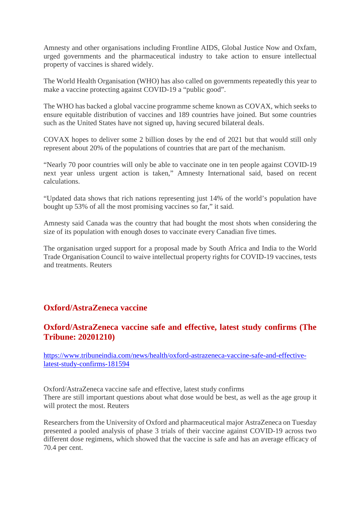Amnesty and other organisations including Frontline AIDS, Global Justice Now and Oxfam, urged governments and the pharmaceutical industry to take action to ensure intellectual property of vaccines is shared widely.

The World Health Organisation (WHO) has also called on governments repeatedly this year to make a vaccine protecting against COVID-19 a "public good".

The WHO has backed a global vaccine programme scheme known as COVAX, which seeks to ensure equitable distribution of vaccines and 189 countries have joined. But some countries such as the United States have not signed up, having secured bilateral deals.

COVAX hopes to deliver some 2 billion doses by the end of 2021 but that would still only represent about 20% of the populations of countries that are part of the mechanism.

"Nearly 70 poor countries will only be able to vaccinate one in ten people against COVID-19 next year unless urgent action is taken," Amnesty International said, based on recent calculations.

"Updated data shows that rich nations representing just 14% of the world's population have bought up 53% of all the most promising vaccines so far," it said.

Amnesty said Canada was the country that had bought the most shots when considering the size of its population with enough doses to vaccinate every Canadian five times.

The organisation urged support for a proposal made by South Africa and India to the World Trade Organisation Council to waive intellectual property rights for COVID-19 vaccines, tests and treatments. Reuters

#### **Oxford/AstraZeneca vaccine**

#### **Oxford/AstraZeneca vaccine safe and effective, latest study confirms (The Tribune: 20201210)**

https://www.tribuneindia.com/news/health/oxford-astrazeneca-vaccine-safe-and-effectivelatest-study-confirms-181594

Oxford/AstraZeneca vaccine safe and effective, latest study confirms There are still important questions about what dose would be best, as well as the age group it will protect the most. Reuters

Researchers from the University of Oxford and pharmaceutical major AstraZeneca on Tuesday presented a pooled analysis of phase 3 trials of their vaccine against COVID-19 across two different dose regimens, which showed that the vaccine is safe and has an average efficacy of 70.4 per cent.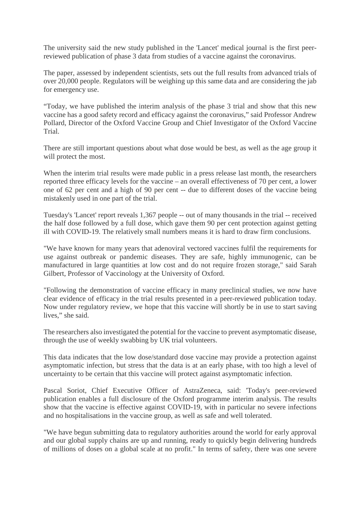The university said the new study published in the 'Lancet' medical journal is the first peerreviewed publication of phase 3 data from studies of a vaccine against the coronavirus.

The paper, assessed by independent scientists, sets out the full results from advanced trials of over 20,000 people. Regulators will be weighing up this same data and are considering the jab for emergency use.

"Today, we have published the interim analysis of the phase 3 trial and show that this new vaccine has a good safety record and efficacy against the coronavirus," said Professor Andrew Pollard, Director of the Oxford Vaccine Group and Chief Investigator of the Oxford Vaccine Trial.

There are still important questions about what dose would be best, as well as the age group it will protect the most.

When the interim trial results were made public in a press release last month, the researchers reported three efficacy levels for the vaccine – an overall effectiveness of 70 per cent, a lower one of 62 per cent and a high of 90 per cent -- due to different doses of the vaccine being mistakenly used in one part of the trial.

Tuesday's 'Lancet' report reveals 1,367 people -- out of many thousands in the trial -- received the half dose followed by a full dose, which gave them 90 per cent protection against getting ill with COVID-19. The relatively small numbers means it is hard to draw firm conclusions.

"We have known for many years that adenoviral vectored vaccines fulfil the requirements for use against outbreak or pandemic diseases. They are safe, highly immunogenic, can be manufactured in large quantities at low cost and do not require frozen storage," said Sarah Gilbert, Professor of Vaccinology at the University of Oxford.

"Following the demonstration of vaccine efficacy in many preclinical studies, we now have clear evidence of efficacy in the trial results presented in a peer-reviewed publication today. Now under regulatory review, we hope that this vaccine will shortly be in use to start saving lives," she said.

The researchers also investigated the potential for the vaccine to prevent asymptomatic disease, through the use of weekly swabbing by UK trial volunteers.

This data indicates that the low dose/standard dose vaccine may provide a protection against asymptomatic infection, but stress that the data is at an early phase, with too high a level of uncertainty to be certain that this vaccine will protect against asymptomatic infection.

Pascal Soriot, Chief Executive Officer of AstraZeneca, said: 'Today's peer-reviewed publication enables a full disclosure of the Oxford programme interim analysis. The results show that the vaccine is effective against COVID-19, with in particular no severe infections and no hospitalisations in the vaccine group, as well as safe and well tolerated.

"We have begun submitting data to regulatory authorities around the world for early approval and our global supply chains are up and running, ready to quickly begin delivering hundreds of millions of doses on a global scale at no profit." In terms of safety, there was one severe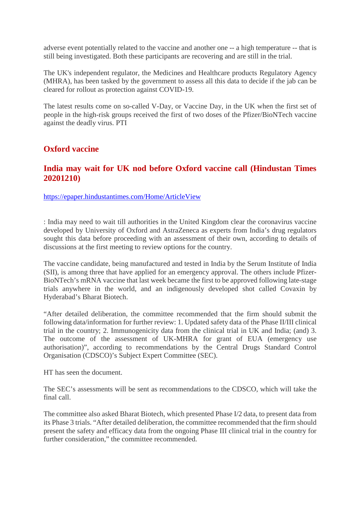adverse event potentially related to the vaccine and another one -- a high temperature -- that is still being investigated. Both these participants are recovering and are still in the trial.

The UK's independent regulator, the Medicines and Healthcare products Regulatory Agency (MHRA), has been tasked by the government to assess all this data to decide if the jab can be cleared for rollout as protection against COVID-19.

The latest results come on so-called V-Day, or Vaccine Day, in the UK when the first set of people in the high-risk groups received the first of two doses of the Pfizer/BioNTech vaccine against the deadly virus. PTI

#### **Oxford vaccine**

#### **India may wait for UK nod before Oxford vaccine call (Hindustan Times 20201210)**

https://epaper.hindustantimes.com/Home/ArticleView

: India may need to wait till authorities in the United Kingdom clear the coronavirus vaccine developed by University of Oxford and AstraZeneca as experts from India's drug regulators sought this data before proceeding with an assessment of their own, according to details of discussions at the first meeting to review options for the country.

The vaccine candidate, being manufactured and tested in India by the Serum Institute of India (SII), is among three that have applied for an emergency approval. The others include Pfizer-BioNTech's mRNA vaccine that last week became the first to be approved following late-stage trials anywhere in the world, and an indigenously developed shot called Covaxin by Hyderabad's Bharat Biotech.

"After detailed deliberation, the committee recommended that the firm should submit the following data/information for further review: 1. Updated safety data of the Phase II/III clinical trial in the country; 2. Immunogenicity data from the clinical trial in UK and India; (and) 3. The outcome of the assessment of UK-MHRA for grant of EUA (emergency use authorisation)", according to recommendations by the Central Drugs Standard Control Organisation (CDSCO)'s Subject Expert Committee (SEC).

HT has seen the document.

The SEC's assessments will be sent as recommendations to the CDSCO, which will take the final call.

The committee also asked Bharat Biotech, which presented Phase I/2 data, to present data from its Phase 3 trials. "After detailed deliberation, the committee recommended that the firm should present the safety and efficacy data from the ongoing Phase III clinical trial in the country for further consideration," the committee recommended.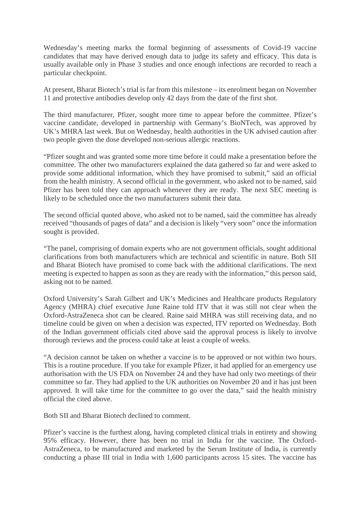Wednesday's meeting marks the formal beginning of assessments of Covid-19 vaccine candidates that may have derived enough data to judge its safety and efficacy. This data is usually available only in Phase 3 studies and once enough infections are recorded to reach a particular checkpoint.

At present, Bharat Biotech's trial is far from this milestone – its enrolment began on November 11 and protective antibodies develop only 42 days from the date of the first shot.

The third manufacturer, Pfizer, sought more time to appear before the committee. Pfizer's vaccine candidate, developed in partnership with Germany's BioNTech, was approved by UK's MHRA last week. But on Wednesday, health authorities in the UK advised caution after two people given the dose developed non-serious allergic reactions.

"Pfizer sought and was granted some more time before it could make a presentation before the committee. The other two manufacturers explained the data gathered so far and were asked to provide some additional information, which they have promised to submit," said an official from the health ministry. A second official in the government, who asked not to be named, said Pfizer has been told they can approach whenever they are ready. The next SEC meeting is likely to be scheduled once the two manufacturers submit their data.

The second official quoted above, who asked not to be named, said the committee has already received "thousands of pages of data" and a decision is likely "very soon" once the information sought is provided.

"The panel, comprising of domain experts who are not government officials, sought additional clarifications from both manufacturers which are technical and scientific in nature. Both SII and Bharat Biotech have promised to come back with the additional clarifications. The next meeting is expected to happen as soon as they are ready with the information," this person said, asking not to be named.

Oxford University's Sarah Gilbert and UK's Medicines and Healthcare products Regulatory Agency (MHRA) chief executive June Raine told ITV that it was still not clear when the Oxford-AstraZeneca shot can be cleared. Raine said MHRA was still receiving data, and no timeline could be given on when a decision was expected, ITV reported on Wednesday. Both of the Indian government officials cited above said the approval process is likely to involve thorough reviews and the process could take at least a couple of weeks.

"A decision cannot be taken on whether a vaccine is to be approved or not within two hours. This is a routine procedure. If you take for example Pfizer, it had applied for an emergency use authorisation with the US FDA on November 24 and they have had only two meetings of their committee so far. They had applied to the UK authorities on November 20 and it has just been approved. It will take time for the committee to go over the data," said the health ministry official the cited above.

Both SII and Bharat Biotech declined to comment.

Pfizer's vaccine is the furthest along, having completed clinical trials in entirety and showing 95% efficacy. However, there has been no trial in India for the vaccine. The Oxford-AstraZeneca, to be manufactured and marketed by the Serum Institute of India, is currently conducting a phase III trial in India with 1,600 participants across 15 sites. The vaccine has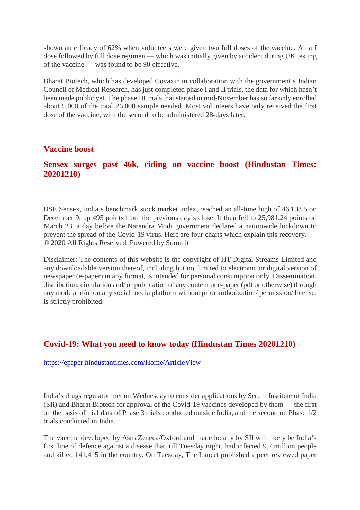shown an efficacy of 62% when volunteers were given two full doses of the vaccine. A half dose followed by full dose regimen — which was initially given by accident during UK testing of the vaccine — was found to be 90 effective.

Bharat Biotech, which has developed Covaxin in collaboration with the government's Indian Council of Medical Research, has just completed phase I and II trials, the data for which hasn't been made public yet. The phase III trials that started in mid-November has so far only enrolled about 5,000 of the total 26,000 sample needed. Most volunteers have only received the first dose of the vaccine, with the second to be administered 28-days later.

#### **Vaccine boost**

#### **Sensex surges past 46k, riding on vaccine boost (Hindustan Times: 20201210)**

BSE Sensex, India's benchmark stock market index, reached an all-time high of 46,103.5 on December 9, up 495 points from the previous day's close. It then fell to 25,981.24 points on March 23, a day before the Narendra Modi government declared a nationwide lockdown to prevent the spread of the Covid-19 virus. Here are four charts which explain this recovery. © 2020 All Rights Reserved. Powered by Summit

Disclaimer: The contents of this website is the copyright of HT Digital Streams Limited and any downloadable version thereof, including but not limited to electronic or digital version of newspaper (e-paper) in any format, is intended for personal consumption only. Dissemination, distribution, circulation and/ or publication of any content or e-paper (pdf or otherwise) through any mode and/or on any social media platform without prior authorization/ permission/ license, is strictly prohibited.

#### **Covid-19: What you need to know today (Hindustan Times 20201210)**

https://epaper.hindustantimes.com/Home/ArticleView

India's drugs regulator met on Wednesday to consider applications by Serum Institute of India (SII) and Bharat Biotech for approval of the Covid-19 vaccines developed by them — the first on the basis of trial data of Phase 3 trials conducted outside India, and the second on Phase 1/2 trials conducted in India.

The vaccine developed by AstraZeneca/Oxford and made locally by SII will likely be India's first line of defence against a disease that, till Tuesday night, had infected 9.7 million people and killed 141,415 in the country. On Tuesday, The Lancet published a peer reviewed paper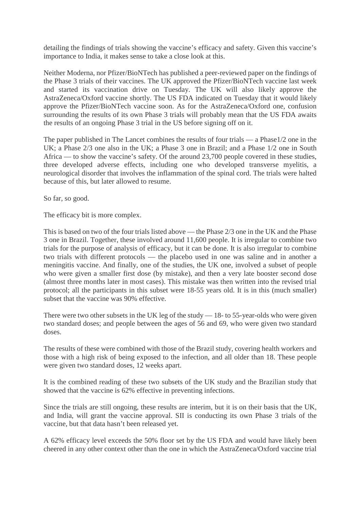detailing the findings of trials showing the vaccine's efficacy and safety. Given this vaccine's importance to India, it makes sense to take a close look at this.

Neither Moderna, nor Pfizer/BioNTech has published a peer-reviewed paper on the findings of the Phase 3 trials of their vaccines. The UK approved the Pfizer/BioNTech vaccine last week and started its vaccination drive on Tuesday. The UK will also likely approve the AstraZeneca/Oxford vaccine shortly. The US FDA indicated on Tuesday that it would likely approve the Pfizer/BioNTech vaccine soon. As for the AstraZeneca/Oxford one, confusion surrounding the results of its own Phase 3 trials will probably mean that the US FDA awaits the results of an ongoing Phase 3 trial in the US before signing off on it.

The paper published in The Lancet combines the results of four trials — a Phase1/2 one in the UK; a Phase 2/3 one also in the UK; a Phase 3 one in Brazil; and a Phase 1/2 one in South Africa — to show the vaccine's safety. Of the around 23,700 people covered in these studies, three developed adverse effects, including one who developed transverse myelitis, a neurological disorder that involves the inflammation of the spinal cord. The trials were halted because of this, but later allowed to resume.

So far, so good.

The efficacy bit is more complex.

This is based on two of the four trials listed above — the Phase 2/3 one in the UK and the Phase 3 one in Brazil. Together, these involved around 11,600 people. It is irregular to combine two trials for the purpose of analysis of efficacy, but it can be done. It is also irregular to combine two trials with different protocols — the placebo used in one was saline and in another a meningitis vaccine. And finally, one of the studies, the UK one, involved a subset of people who were given a smaller first dose (by mistake), and then a very late booster second dose (almost three months later in most cases). This mistake was then written into the revised trial protocol; all the participants in this subset were 18-55 years old. It is in this (much smaller) subset that the vaccine was 90% effective.

There were two other subsets in the UK leg of the study — 18- to 55-year-olds who were given two standard doses; and people between the ages of 56 and 69, who were given two standard doses.

The results of these were combined with those of the Brazil study, covering health workers and those with a high risk of being exposed to the infection, and all older than 18. These people were given two standard doses, 12 weeks apart.

It is the combined reading of these two subsets of the UK study and the Brazilian study that showed that the vaccine is 62% effective in preventing infections.

Since the trials are still ongoing, these results are interim, but it is on their basis that the UK, and India, will grant the vaccine approval. SII is conducting its own Phase 3 trials of the vaccine, but that data hasn't been released yet.

A 62% efficacy level exceeds the 50% floor set by the US FDA and would have likely been cheered in any other context other than the one in which the AstraZeneca/Oxford vaccine trial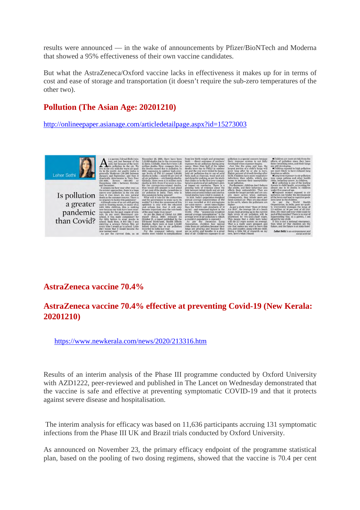results were announced — in the wake of announcements by Pfizer/BioNTech and Moderna that showed a 95% effectiveness of their own vaccine candidates.

But what the AstraZeneca/Oxford vaccine lacks in effectiveness it makes up for in terms of cost and ease of storage and transportation (it doesn't require the sub-zero temperatures of the other two).

#### **Pollution (The Asian Age: 20201210)**

http://onlineepaper.asianage.com/articledetailpage.aspx?id=15273003



#### **AstraZeneca vaccine 70.4%**

#### **AstraZeneca vaccine 70.4% effective at preventing Covid-19 (New Kerala: 20201210)**

https://www.newkerala.com/news/2020/213316.htm

Results of an interim analysis of the Phase III programme conducted by Oxford University with AZD1222, peer-reviewed and published in The Lancet on Wednesday demonstrated that the vaccine is safe and effective at preventing symptomatic COVID-19 and that it protects against severe disease and hospitalisation.

The interim analysis for efficacy was based on 11,636 participants accruing 131 symptomatic infections from the Phase III UK and Brazil trials conducted by Oxford University.

As announced on November 23, the primary efficacy endpoint of the programme statistical plan, based on the pooling of two dosing regimens, showed that the vaccine is 70.4 per cent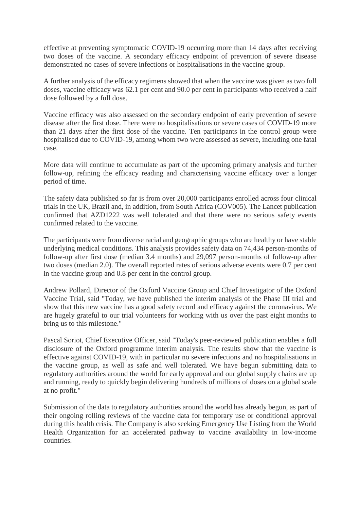effective at preventing symptomatic COVID-19 occurring more than 14 days after receiving two doses of the vaccine. A secondary efficacy endpoint of prevention of severe disease demonstrated no cases of severe infections or hospitalisations in the vaccine group.

A further analysis of the efficacy regimens showed that when the vaccine was given as two full doses, vaccine efficacy was 62.1 per cent and 90.0 per cent in participants who received a half dose followed by a full dose.

Vaccine efficacy was also assessed on the secondary endpoint of early prevention of severe disease after the first dose. There were no hospitalisations or severe cases of COVID-19 more than 21 days after the first dose of the vaccine. Ten participants in the control group were hospitalised due to COVID-19, among whom two were assessed as severe, including one fatal case.

More data will continue to accumulate as part of the upcoming primary analysis and further follow-up, refining the efficacy reading and characterising vaccine efficacy over a longer period of time.

The safety data published so far is from over 20,000 participants enrolled across four clinical trials in the UK, Brazil and, in addition, from South Africa (COV005). The Lancet publication confirmed that AZD1222 was well tolerated and that there were no serious safety events confirmed related to the vaccine.

The participants were from diverse racial and geographic groups who are healthy or have stable underlying medical conditions. This analysis provides safety data on 74,434 person-months of follow-up after first dose (median 3.4 months) and 29,097 person-months of follow-up after two doses (median 2.0). The overall reported rates of serious adverse events were 0.7 per cent in the vaccine group and 0.8 per cent in the control group.

Andrew Pollard, Director of the Oxford Vaccine Group and Chief Investigator of the Oxford Vaccine Trial, said "Today, we have published the interim analysis of the Phase III trial and show that this new vaccine has a good safety record and efficacy against the coronavirus. We are hugely grateful to our trial volunteers for working with us over the past eight months to bring us to this milestone."

Pascal Soriot, Chief Executive Officer, said "Today's peer-reviewed publication enables a full disclosure of the Oxford programme interim analysis. The results show that the vaccine is effective against COVID-19, with in particular no severe infections and no hospitalisations in the vaccine group, as well as safe and well tolerated. We have begun submitting data to regulatory authorities around the world for early approval and our global supply chains are up and running, ready to quickly begin delivering hundreds of millions of doses on a global scale at no profit."

Submission of the data to regulatory authorities around the world has already begun, as part of their ongoing rolling reviews of the vaccine data for temporary use or conditional approval during this health crisis. The Company is also seeking Emergency Use Listing from the World Health Organization for an accelerated pathway to vaccine availability in low-income countries.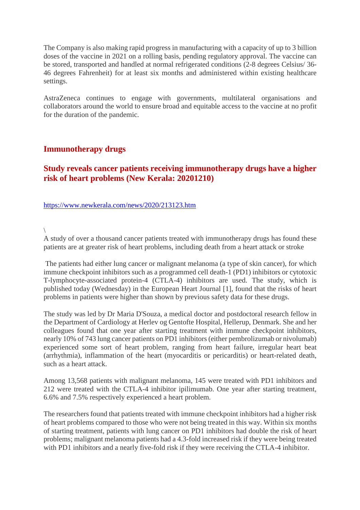The Company is also making rapid progress in manufacturing with a capacity of up to 3 billion doses of the vaccine in 2021 on a rolling basis, pending regulatory approval. The vaccine can be stored, transported and handled at normal refrigerated conditions (2-8 degrees Celsius/ 36- 46 degrees Fahrenheit) for at least six months and administered within existing healthcare settings.

AstraZeneca continues to engage with governments, multilateral organisations and collaborators around the world to ensure broad and equitable access to the vaccine at no profit for the duration of the pandemic.

#### **Immunotherapy drugs**

#### **Study reveals cancer patients receiving immunotherapy drugs have a higher risk of heart problems (New Kerala: 20201210)**

#### https://www.newkerala.com/news/2020/213123.htm

 $\setminus$ 

A study of over a thousand cancer patients treated with immunotherapy drugs has found these patients are at greater risk of heart problems, including death from a heart attack or stroke

The patients had either lung cancer or malignant melanoma (a type of skin cancer), for which immune checkpoint inhibitors such as a programmed cell death-1 (PD1) inhibitors or cytotoxic T-lymphocyte-associated protein-4 (CTLA-4) inhibitors are used. The study, which is published today (Wednesday) in the European Heart Journal [1], found that the risks of heart problems in patients were higher than shown by previous safety data for these drugs.

The study was led by Dr Maria D'Souza, a medical doctor and postdoctoral research fellow in the Department of Cardiology at Herlev og Gentofte Hospital, Hellerup, Denmark. She and her colleagues found that one year after starting treatment with immune checkpoint inhibitors, nearly 10% of 743 lung cancer patients on PD1 inhibitors (either pembrolizumab or nivolumab) experienced some sort of heart problem, ranging from heart failure, irregular heart beat (arrhythmia), inflammation of the heart (myocarditis or pericarditis) or heart-related death, such as a heart attack.

Among 13,568 patients with malignant melanoma, 145 were treated with PD1 inhibitors and 212 were treated with the CTLA-4 inhibitor ipilimumab. One year after starting treatment, 6.6% and 7.5% respectively experienced a heart problem.

The researchers found that patients treated with immune checkpoint inhibitors had a higher risk of heart problems compared to those who were not being treated in this way. Within six months of starting treatment, patients with lung cancer on PD1 inhibitors had double the risk of heart problems; malignant melanoma patients had a 4.3-fold increased risk if they were being treated with PD1 inhibitors and a nearly five-fold risk if they were receiving the CTLA-4 inhibitor.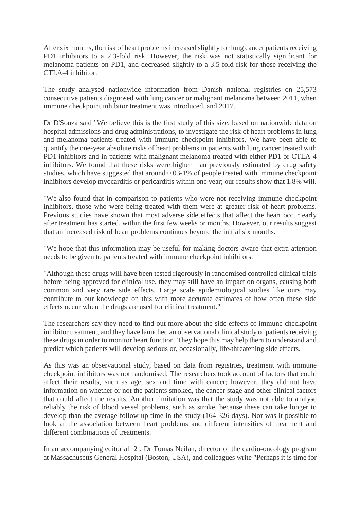After six months, the risk of heart problems increased slightly for lung cancer patients receiving PD1 inhibitors to a 2.3-fold risk. However, the risk was not statistically significant for melanoma patients on PD1, and decreased slightly to a 3.5-fold risk for those receiving the CTLA-4 inhibitor.

The study analysed nationwide information from Danish national registries on 25,573 consecutive patients diagnosed with lung cancer or malignant melanoma between 2011, when immune checkpoint inhibitor treatment was introduced, and 2017.

Dr D'Souza said "We believe this is the first study of this size, based on nationwide data on hospital admissions and drug administrations, to investigate the risk of heart problems in lung and melanoma patients treated with immune checkpoint inhibitors. We have been able to quantify the one-year absolute risks of heart problems in patients with lung cancer treated with PD1 inhibitors and in patients with malignant melanoma treated with either PD1 or CTLA-4 inhibitors. We found that these risks were higher than previously estimated by drug safety studies, which have suggested that around 0.03-1% of people treated with immune checkpoint inhibitors develop myocarditis or pericarditis within one year; our results show that 1.8% will.

"We also found that in comparison to patients who were not receiving immune checkpoint inhibitors, those who were being treated with them were at greater risk of heart problems. Previous studies have shown that most adverse side effects that affect the heart occur early after treatment has started, within the first few weeks or months. However, our results suggest that an increased risk of heart problems continues beyond the initial six months.

"We hope that this information may be useful for making doctors aware that extra attention needs to be given to patients treated with immune checkpoint inhibitors.

"Although these drugs will have been tested rigorously in randomised controlled clinical trials before being approved for clinical use, they may still have an impact on organs, causing both common and very rare side effects. Large scale epidemiological studies like ours may contribute to our knowledge on this with more accurate estimates of how often these side effects occur when the drugs are used for clinical treatment."

The researchers say they need to find out more about the side effects of immune checkpoint inhibitor treatment, and they have launched an observational clinical study of patients receiving these drugs in order to monitor heart function. They hope this may help them to understand and predict which patients will develop serious or, occasionally, life-threatening side effects.

As this was an observational study, based on data from registries, treatment with immune checkpoint inhibitors was not randomised. The researchers took account of factors that could affect their results, such as age, sex and time with cancer; however, they did not have information on whether or not the patients smoked, the cancer stage and other clinical factors that could affect the results. Another limitation was that the study was not able to analyse reliably the risk of blood vessel problems, such as stroke, because these can take longer to develop than the average follow-up time in the study (164-326 days). Nor was it possible to look at the association between heart problems and different intensities of treatment and different combinations of treatments.

In an accompanying editorial [2], Dr Tomas Neilan, director of the cardio-oncology program at Massachusetts General Hospital (Boston, USA), and colleagues write "Perhaps it is time for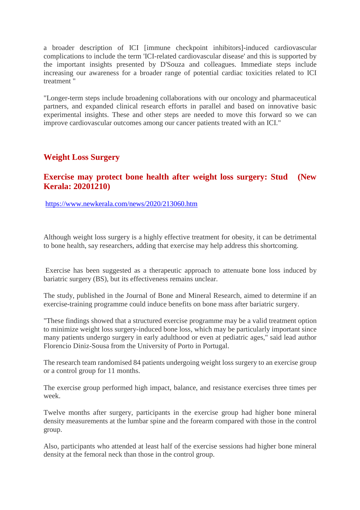a broader description of ICI [immune checkpoint inhibitors]-induced cardiovascular complications to include the term 'ICI-related cardiovascular disease' and this is supported by the important insights presented by D'Souza and colleagues. Immediate steps include increasing our awareness for a broader range of potential cardiac toxicities related to ICI treatment "

"Longer-term steps include broadening collaborations with our oncology and pharmaceutical partners, and expanded clinical research efforts in parallel and based on innovative basic experimental insights. These and other steps are needed to move this forward so we can improve cardiovascular outcomes among our cancer patients treated with an ICI."

#### **Weight Loss Surgery**

#### **Exercise may protect bone health after weight loss surgery: Stud (New Kerala: 20201210)**

https://www.newkerala.com/news/2020/213060.htm

Although weight loss surgery is a highly effective treatment for obesity, it can be detrimental to bone health, say researchers, adding that exercise may help address this shortcoming.

Exercise has been suggested as a therapeutic approach to attenuate bone loss induced by bariatric surgery (BS), but its effectiveness remains unclear.

The study, published in the Journal of Bone and Mineral Research, aimed to determine if an exercise-training programme could induce benefits on bone mass after bariatric surgery.

"These findings showed that a structured exercise programme may be a valid treatment option to minimize weight loss surgery-induced bone loss, which may be particularly important since many patients undergo surgery in early adulthood or even at pediatric ages," said lead author Florencio Diniz-Sousa from the University of Porto in Portugal.

The research team randomised 84 patients undergoing weight loss surgery to an exercise group or a control group for 11 months.

The exercise group performed high impact, balance, and resistance exercises three times per week.

Twelve months after surgery, participants in the exercise group had higher bone mineral density measurements at the lumbar spine and the forearm compared with those in the control group.

Also, participants who attended at least half of the exercise sessions had higher bone mineral density at the femoral neck than those in the control group.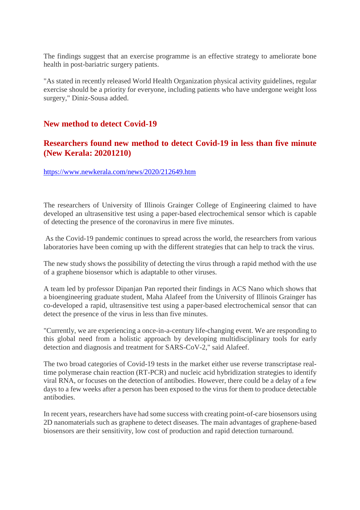The findings suggest that an exercise programme is an effective strategy to ameliorate bone health in post-bariatric surgery patients.

"As stated in recently released World Health Organization physical activity guidelines, regular exercise should be a priority for everyone, including patients who have undergone weight loss surgery," Diniz-Sousa added.

#### **New method to detect Covid-19**

#### **Researchers found new method to detect Covid-19 in less than five minute (New Kerala: 20201210)**

https://www.newkerala.com/news/2020/212649.htm

The researchers of University of Illinois Grainger College of Engineering claimed to have developed an ultrasensitive test using a paper-based electrochemical sensor which is capable of detecting the presence of the coronavirus in mere five minutes.

As the Covid-19 pandemic continues to spread across the world, the researchers from various laboratories have been coming up with the different strategies that can help to track the virus.

The new study shows the possibility of detecting the virus through a rapid method with the use of a graphene biosensor which is adaptable to other viruses.

A team led by professor Dipanjan Pan reported their findings in ACS Nano which shows that a bioengineering graduate student, Maha Alafeef from the University of Illinois Grainger has co-developed a rapid, ultrasensitive test using a paper-based electrochemical sensor that can detect the presence of the virus in less than five minutes.

"Currently, we are experiencing a once-in-a-century life-changing event. We are responding to this global need from a holistic approach by developing multidisciplinary tools for early detection and diagnosis and treatment for SARS-CoV-2," said Alafeef.

The two broad categories of Covid-19 tests in the market either use reverse transcriptase realtime polymerase chain reaction (RT-PCR) and nucleic acid hybridization strategies to identify viral RNA, or focuses on the detection of antibodies. However, there could be a delay of a few days to a few weeks after a person has been exposed to the virus for them to produce detectable antibodies.

In recent years, researchers have had some success with creating point-of-care biosensors using 2D nanomaterials such as graphene to detect diseases. The main advantages of graphene-based biosensors are their sensitivity, low cost of production and rapid detection turnaround.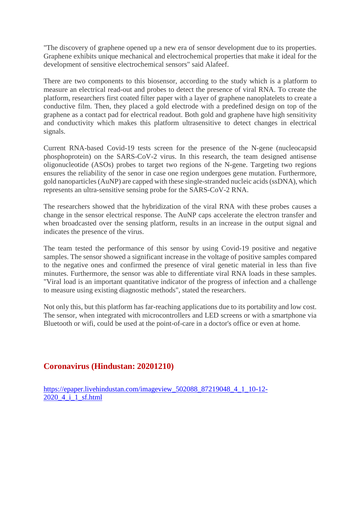"The discovery of graphene opened up a new era of sensor development due to its properties. Graphene exhibits unique mechanical and electrochemical properties that make it ideal for the development of sensitive electrochemical sensors" said Alafeef.

There are two components to this biosensor, according to the study which is a platform to measure an electrical read-out and probes to detect the presence of viral RNA. To create the platform, researchers first coated filter paper with a layer of graphene nanoplatelets to create a conductive film. Then, they placed a gold electrode with a predefined design on top of the graphene as a contact pad for electrical readout. Both gold and graphene have high sensitivity and conductivity which makes this platform ultrasensitive to detect changes in electrical signals.

Current RNA-based Covid-19 tests screen for the presence of the N-gene (nucleocapsid phosphoprotein) on the SARS-CoV-2 virus. In this research, the team designed antisense oligonucleotide (ASOs) probes to target two regions of the N-gene. Targeting two regions ensures the reliability of the senor in case one region undergoes gene mutation. Furthermore, gold nanoparticles (AuNP) are capped with these single-stranded nucleic acids (ssDNA), which represents an ultra-sensitive sensing probe for the SARS-CoV-2 RNA.

The researchers showed that the hybridization of the viral RNA with these probes causes a change in the sensor electrical response. The AuNP caps accelerate the electron transfer and when broadcasted over the sensing platform, results in an increase in the output signal and indicates the presence of the virus.

The team tested the performance of this sensor by using Covid-19 positive and negative samples. The sensor showed a significant increase in the voltage of positive samples compared to the negative ones and confirmed the presence of viral genetic material in less than five minutes. Furthermore, the sensor was able to differentiate viral RNA loads in these samples. "Viral load is an important quantitative indicator of the progress of infection and a challenge to measure using existing diagnostic methods", stated the researchers.

Not only this, but this platform has far-reaching applications due to its portability and low cost. The sensor, when integrated with microcontrollers and LED screens or with a smartphone via Bluetooth or wifi, could be used at the point-of-care in a doctor's office or even at home.

#### **Coronavirus (Hindustan: 20201210)**

https://epaper.livehindustan.com/imageview\_502088\_87219048\_4\_1\_10-12- 2020\_4\_i\_1\_sf.html